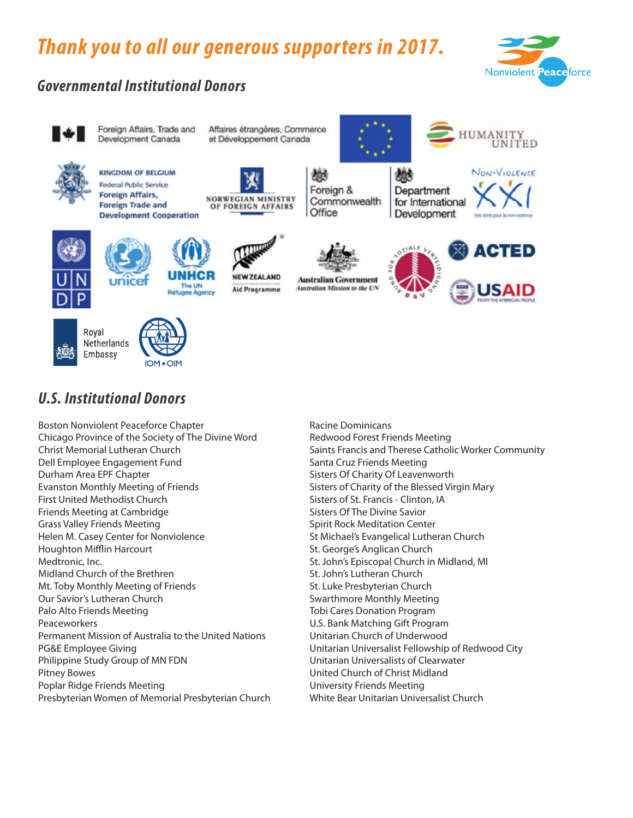# *Thank you to all our generous supporters in 2017.*



# *Governmental Institutional Donors*



## *U.S. Institutional Donors*

Boston Nonviolent Peaceforce Chapter Chicago Province of the Society of The Divine Word Christ Memorial Lutheran Church Dell Employee Engagement Fund Durham Area EPF Chapter Evanston Monthly Meeting of Friends First United Methodist Church Friends Meeting at Cambridge Grass Valley Friends Meeting Helen M. Casey Center for Nonviolence Houghton Mifflin Harcourt Medtronic, Inc. Midland Church of the Brethren Mt. Toby Monthly Meeting of Friends Our Savior's Lutheran Church Palo Alto Friends Meeting Peaceworkers Permanent Mission of Australia to the United Nations PG&E Employee Giving Philippine Study Group of MN FDN Pitney Bowes Poplar Ridge Friends Meeting Presbyterian Women of Memorial Presbyterian Church

Racine Dominicans Redwood Forest Friends Meeting Saints Francis and Therese Catholic Worker Community Santa Cruz Friends Meeting Sisters Of Charity Of Leavenworth Sisters of Charity of the Blessed Virgin Mary Sisters of St. Francis - Clinton, IA Sisters Of The Divine Savior Spirit Rock Meditation Center St Michael's Evangelical Lutheran Church St. George's Anglican Church St. John's Episcopal Church in Midland, MI St. John's Lutheran Church St. Luke Presbyterian Church Swarthmore Monthly Meeting Tobi Cares Donation Program U.S. Bank Matching Gift Program Unitarian Church of Underwood Unitarian Universalist Fellowship of Redwood City Unitarian Universalists of Clearwater United Church of Christ Midland University Friends Meeting White Bear Unitarian Universalist Church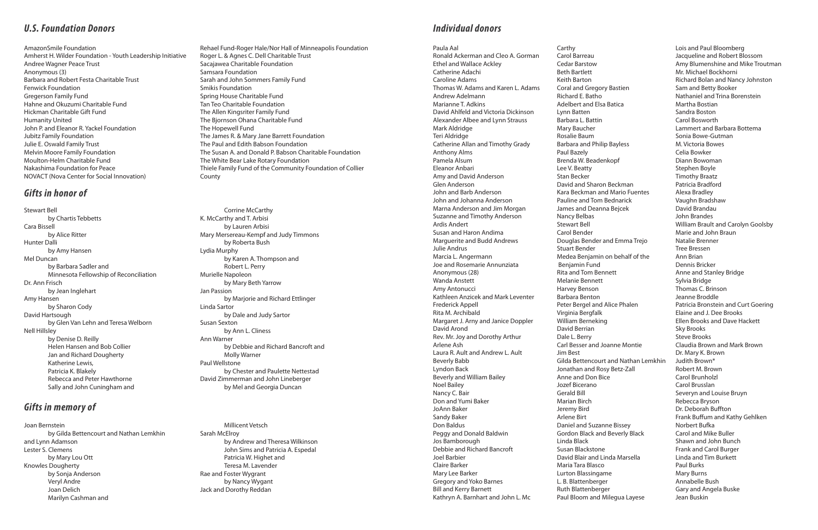#### *U.S. Foundation Donors*

#### *Gifts in honor of*

### *Gifts in memory of*

#### *Individual donors*

AmazonSmile Foundation Amherst H. Wilder Foundation - Youth Leadership Initiative Andree Wagner Peace Trust Anonymous (3) Barbara and Robert Festa Charitable Trust Fenwick Foundation Gregerson Family Fund Hahne and Okuzumi Charitable Fund Hickman Charitable Gift Fund Humanity United John P. and Eleanor R. Yackel Foundation Jubitz Family Foundation Julie E. Oswald Family Trust Melvin Moore Family Foundation Moulton-Helm Charitable Fund Nakashima Foundation for Peace NOVACT (Nova Center for Social Innovation)

Rehael Fund-Roger Hale/Nor Hall of Minneapolis Foundation Roger L. & Agnes C. Dell Charitable Trust Sacajawea Charitable Foundation Samsara Foundation Sarah and John Sommers Family Fund Smikis Foundation Spring House Charitable Fund Tan Teo Charitable Foundation The Allen Kingsriter Family Fund The Bjornson Ohana Charitable Fund The Hopewell Fund The James R. & Mary Jane Barrett Foundation The Paul and Edith Babson Foundation The Susan A. and Donald P. Babson Charitable Foundation The White Bear Lake Rotary Foundation Thiele Family Fund of the Community Foundation of Collier County

Stewart Bell by Chartis Tebbetts Cara Bissell by Alice Ritter Hunter Dalli by Amy Hansen Mel Duncan by Barbara Sadler and Minnesota Fellowship of Reconciliation Dr. Ann Frisch by Jean Inglehart Amy Hansen by Sharon Cody David Hartsough by Glen Van Lehn and Teresa Welborn Nell Hillsley by Denise D. Reilly Helen Hansen and Bob Collier Jan and Richard Dougherty Katherine Lewis, Patricia K. Blakely Rebecca and Peter Hawthorne Sally and John Cuningham and

Corrine McCarthy K. McCarthy and T. Arbisi by Lauren Arbisi Mary Mersereau-Kempf and Judy Timmons by Roberta Bush Lydia Murphy by Karen A. Thompson and Robert L. Perry Murielle Napoleon by Mary Beth Yarrow Jan Passion by Marjorie and Richard Ettlinger Linda Sartor by Dale and Judy Sartor Susan Sexton by Ann L. Cliness Ann Warner by Debbie and Richard Bancroft and Molly Warner Paul Wellstone by Chester and Paulette Nettestad David Zimmerman and John Lineberger by Mel and Georgia Duncan

Joan Bernstein by Gilda Bettencourt and Nathan Lemkhin and Lynn Adamson Lester S. Clemens by Mary Lou Ott Knowles Dougherty by Sonja Anderson Veryl Andre Joan Delich Marilyn Cashman and

Millicent Vetsch Sarah McElroy by Andrew and Theresa Wilkinson John Sims and Patricia A. Espedal Patricia W. Highet and Teresa M. Lavender Rae and Foster Wygrant by Nancy Wygant Jack and Dorothy Reddan

Paula Aal Ronald Ackerman and Cleo A. Gorman Ethel and Wallace Ackley Catherine Adachi Caroline Adams Thomas W. Adams and Karen L. Adams Andrew Adelmann Marianne T. Adkins David Ahlfeld and Victoria Dickinson Alexander Albee and Lynn Strauss Mark Aldridge Teri Aldridge Catherine Allan and Timothy Grady Anthony Alms Pamela Alsum Eleanor Anbari Amy and David Anderson Glen Anderson John and Barb Anderson John and Johanna Anderson Marna Anderson and Jim Morgan Suzanne and Timothy Anderson Ardis Andert Susan and Haron Andima Marguerite and Budd Andrews Julie Andrus Marcia L. Angermann Joe and Rosemarie Annunziata Anonymous (28) Wanda Anstett Amy Antonucci Kathleen Anzicek and Mark Leventer Frederick Appell Rita M. Archibald Margaret J. Arny and Janice Doppler David Arond Rev. Mr. Joy and Dorothy Arthur Arlene Ash Laura R. Ault and Andrew L. Ault Beverly Babb Lyndon Back Beverly and William Bailey Noel Bailey Nancy C. Bair Don and Yumi Baker JoAnn Baker Sandy Baker Don Baldus Peggy and Donald Baldwin Jos Bamborough Debbie and Richard Bancroft Joel Barbier Claire Barker Mary Lee Barker Gregory and Yoko Barnes Bill and Kerry Barnett Kathryn A. Barnhart and John L. Mc

Carthy Carol Barreau Cedar Barstow Beth Bartlett Keith Barton Coral and Gregory Bastien Richard E. Batho Adelbert and Elsa Batica Lynn Batten Barbara L. Battin Mary Baucher Rosalie Baum Barbara and Philip Bayless Paul Bazely Brenda W. Beadenkopf Lee V. Beatty Stan Becker David and Sharon Beckman Kara Beckman and Mario Fuentes Pauline and Tom Bednarick James and Deanna Bejcek Nancy Belbas Stewart Bell Carol Bender Douglas Bender and Emma Trejo Stuart Bender Medea Benjamin on behalf of the Benjamin Fund Rita and Tom Bennett Melanie Bennett Harvey Benson Barbara Benton Peter Bergel and Alice Phalen Virginia Bergfalk William Berneking David Berrian Dale L. Berry Carl Besser and Joanne Montie Jim Best Gilda Bettencourt and Nathan Lemkhin Jonathan and Rosy Betz-Zall Anne and Don Bice Jozef Bicerano Gerald Bill Marian Birch Jeremy Bird Arlene Birt Daniel and Suzanne Bissey Gordon Black and Beverly Black Linda Black Susan Blackstone David Blair and Linda Marsella Maria Tara Blasco Lurton Blassingame L. B. Blattenberger Ruth Blattenberger Paul Bloom and Milegua Layese

Lois and Paul Bloomberg Jacqueline and Robert Blossom Amy Blumenshine and Mike Troutman Mr. Michael Bockhorni Richard Bolan and Nancy Johnston Sam and Betty Booker Nathaniel and Trina Borenstein Martha Bostian Sandra Boston Carol Bosworth Lammert and Barbara Bottema Sonia Bowe-Gutman M. Victoria Bowes Celia Bowker Diann Bowoman Stephen Boyle Timothy Braatz Patricia Bradford Alexa Bradley Vaughn Bradshaw David Brandau John Brandes William Brault and Carolyn Goolsby Marie and John Braun Natalie Brenner Tree Bressen Ann Brian Dennis Bricker Anne and Stanley Bridge Sylvia Bridge Thomas C. Brinson Jeanne Broddle Patricia Bronstein and Curt Goering Elaine and J. Dee Brooks Ellen Brooks and Dave Hackett Sky Brooks Steve Brooks Claudia Brown and Mark Brown Dr. Mary K. Brown Judith Brown\* Robert M. Brown Carol Brunholzl Carol Brusslan Severyn and Louise Bruyn Rebecca Bryson Dr. Deborah Buffton Frank Buffum and Kathy Gehlken Norbert Bufka Carol and Mike Buller Shawn and John Bunch Frank and Carol Burger Linda and Tim Burkett Paul Burks Mary Burns Annabelle Bush Gary and Angela Buske Jean Buskin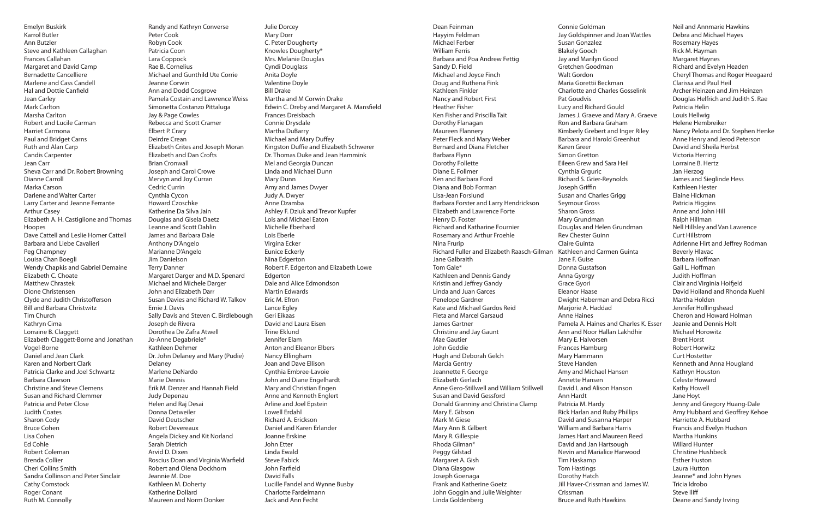Emelyn Buskirk Karrol Butler Ann Butzler Steve and Kathleen Callaghan Frances Callahan Margaret and David Camp Bernadette Cancelliere Marlene and Cass Candell Hal and Dottie Canfield Jean Carley Mark Carlton Marsha Carlton Robert and Lucile Carman Harriet Carmona Paul and Bridget Carns Ruth and Alan Carp Candis Carpenter Jean Carr Sheva Carr and Dr. Robert Browning Dianne Carroll Marka Carson Darlene and Walter Carter Larry Carter and Jeanne Ferrante Arthur Casey Elizabeth A. H. Castiglione and Thomas Hoopes Dave Cattell and Leslie Homer Cattell Barbara and Liebe Cavalieri Peg Champney Louisa Chan Boegli Wendy Chapkis and Gabriel Demaine Elizabeth C. Choate Matthew Chrastek Dione Christensen Clyde and Judith Christofferson Bill and Barbara Christwitz Tim Church Kathryn Cima Lorraine B. Claggett Elizabeth Claggett-Borne and Jonathan Vogel-Borne Daniel and Jean Clark Karen and Norbert Clark Patricia Clarke and Joel Schwartz Barbara Clawson Christine and Steve Clemens Susan and Richard Clemmer Patricia and Peter Close Judith Coates Sharon Cody Bruce Cohen Lisa Cohen Ed Cohle Robert Coleman Brenda Collier Cheri Collins Smith Sandra Collinson and Peter Sinclair Cathy Comstock Roger Conant Ruth M. Connolly

Randy and Kathryn Converse Peter Cook Robyn Cook Patricia Coon Lara Coppock Rae B. Cornelius Michael and Gunthild Ute Corrie Jeanne Corwin Ann and Dodd Cosgrove Pamela Costain and Lawrence Weiss Simonetta Costanzo Pittaluga Jay & Page Cowles Rebecca and Scott Cramer Elbert P. Crary Deirdre Crean Elizabeth Crites and Joseph Moran Elizabeth and Dan Crofts Brian Cronwall Joseph and Carol Crowe Mervyn and Joy Curran Cedric Currin Cynthia Cycon Howard Czoschke Katherine Da Silva Jain Douglas and Gisela Daetz Leanne and Scott Dahlin James and Barbara Dale Anthony D'Angelo Marianne D'Angelo Jim Danielson Terry Danner Margaret Darger and M.D. Spenard Michael and Michele Darger John and Elizabeth Darr Susan Davies and Richard W. Talkov Ernie J. Davis Sally Davis and Steven C. Birdlebough Joseph de Rivera Dorothea De Zafra Atwell Jo-Anne Degabriele\* Kathleen Dehmer Dr. John Delaney and Mary (Pudie) Delaney Marlene DeNardo Marie Dennis Erik M. Denzer and Hannah Field Judy Depenau Helen and Raj Desai Donna Detweiler David Deutscher Robert Devereaux Angela Dickey and Kit Norland Sarah Dietrich Arvid D. Dixen Roscius Doan and Virginia Warfield Robert and Olena Dockhorn Jeannie M. Doe Kathleen M. Doherty Katherine Dollard Maureen and Norm Donker

Julie Dorcey Mary Dorr C. Peter Dougherty Knowles Dougherty\* Mrs. Melanie Douglas Cyndi Douglass Anita Doyle Valentine Doyle Bill Drake Martha and M Corwin Drake Edwin C. Dreby and Margaret A. Mansfield Frances Dreisbach Connie Drysdale Martha DuBarry Michael and Mary Duffey Kingston Duffie and Elizabeth Schwerer Dr. Thomas Duke and Jean Hammink Mel and Georgia Duncan Linda and Michael Dunn Mary Dunn Amy and James Dwyer Judy A. Dwyer Anne Dzamba Ashley F. Dziuk and Trevor Kupfer Lois and Michael Eaton Michelle Eberhard Lois Eberle Virgina Ecker Eunice Eckerly Nina Edgerton Robert F. Edgerton and Elizabeth Lowe **Edgerton** Dale and Alice Edmondson Martin Edwards Eric M. Efron Lance Egley Geri Eikaas David and Laura Eisen Trine Eklund Jennifer Elam Anton and Eleanor Elbers Nancy Ellingham Joan and Dave Ellison Cynthia Embree-Lavoie John and Diane Engelhardt Mary and Christian Engen Anne and Kenneth Englert Arline and Joel Epstein Lowell Erdahl Richard A. Erickson Daniel and Karen Erlander Joanne Erskine John Etter Linda Ewald Steve Fabick John Farfield David Falls Lucille Fandel and Wynne Busby Charlotte Fardelmann Jack and Ann Fecht

Dean Feinman Hayyim Feldman Michael Ferber William Ferris Barbara and Poa Andrew Fettig Sandy D. Field Michael and Joyce Finch Doug and Ruthena Fink Kathleen Finkler Nancy and Robert First Heather Fisher Ken Fisher and Priscilla Tait Dorothy Flanagan Maureen Flannery Peter Fleck and Mary Weber Bernard and Diana Fletcher Barbara Flynn Dorothy Follette Diane E. Follmer Ken and Barbara Ford Diana and Bob Forman Lisa-Jean Forslund Barbara Forster and Larry Hendrickson Elizabeth and Lawrence Forte Henry D. Foster Richard and Katharine Fournier Rosemary and Arthur Froehle Nina Frurip Richard Fuller and Elizabeth Raasch-Gilman Kathleen and Carmen Guinta Jane Galbraith Tom Gale\* Kathleen and Dennis Gandy Kristin and Jeffrey Gandy Linda and Juan Garces Penelope Gardner Kate and Michael Gardos Reid Fleta and Marcel Garsaud James Gartner Christine and Jay Gaunt Mae Gautier John Geddie Hugh and Deborah Gelch Marcia Gentry Jeannette F. George Elizabeth Gerlach Anne Gero-Stillwell and William Stillwell Susan and David Gessford Donald Gianniny and Christina Clamp Mary E. Gibson Mark M Giese Mary Ann B. Gilbert Mary R. Gillespie Rhoda Gilman\* Peggy Gilstad Margaret A. Gish Diana Glasgow Joseph Goenaga Frank and Katherine Goetz John Goggin and Julie Weighter Linda Goldenberg

Connie Goldman

Jay Goldspinner and Joan Wattles Susan Gonzalez Blakely Gooch Jay and Marilyn Good Gretchen Goodman Walt Gordon Maria Gorettii Beckman Charlotte and Charles Gosselink Pat Goudvis Lucy and Richard Gould James J. Graeve and Mary A. Graeve Ron and Barbara Graham Kimberly Grebert and Inger Riley Barbara and Harold Greenhut Karen Greer Simon Gretton Eileen Grew and Sara Heil Cynthia Grguric Richard S. Grier-Reynolds Joseph Griffin Susan and Charles Grigg Seymour Gross Sharon Gross Mary Grundman Douglas and Helen Grundman Rev Chester Guinn Claire Guinta Jane F. Guise Donna Gustafson Anna Gyorgy Grace Gyori Eleanor Haase Dwight Haberman and Debra Ricci Marjorie A. Haddad Anne Haines Pamela A. Haines and Charles K. Esser Ann and Noor Hallan Lakhdhir Mary E. Halvorsen Frances Hamburg Mary Hammann Steve Handen Amy and Michael Hansen Annette Hansen David L and Alison Hanson Ann Hardt Patricia M. Hardy Rick Harlan and Ruby Phillips David and Susanna Harper William and Barbara Harris James Hart and Maureen Reed David and Jan Hartsough Nevin and Marialice Harwood Tim Haskamp Tom Hastings Dorothy Hatch Jill Haver-Crissman and James W. Crissman Bruce and Ruth Hawkins

Patricia Helin Louis Hellwig Jan Herzog Ralph Hillman Curt Hillstrom Brent Horst Kathy Howell Jane Hoyt

Neil and Annmarie Hawkins Debra and Michael Hayes Rosemary Hayes Rick M. Hayman Margaret Haynes Richard and Evelyn Headen Cheryl Thomas and Roger Heegaard Clarissa and Paul Heil Archer Heinzen and Jim Heinzen Douglas Helfrich and Judith S. Rae Helene Hembreiker Nancy Pelota and Dr. Stephen Henke Anne Henry and Jerod Peterson David and Sheila Herbst Victoria Herring Lorraine B. Hertz James and Sieglinde Hess Kathleen Hester Elaine Hickman Patricia Higgins Anne and John Hill Nell Hillsley and Van Lawrence Adrienne Hirt and Jeffrey Rodman Beverly Hlavac Barbara Hoffman Gail L. Hoffman Judith Hoffman Clair and Virginia Hoifjeld David Hoiland and Rhonda Kuehl Martha Holden Jennifer Hollingshead Cheron and Howard Holman Jeanie and Dennis Holt Michael Horowitz Robert Horwitz Curt Hostetter Kenneth and Anna Hougland Kathryn Houston Celeste Howard Jenny and Gregory Huang-Dale Amy Hubbard and Geoffrey Kehoe Harriette A. Hubbard Francis and Evelyn Hudson Martha Hunkins Willard Hunter Christine Hushbeck Esther Huston Laura Hutton Jeanne\* and John Hynes Tricia Idrobo Steve Iliff Deane and Sandy Irving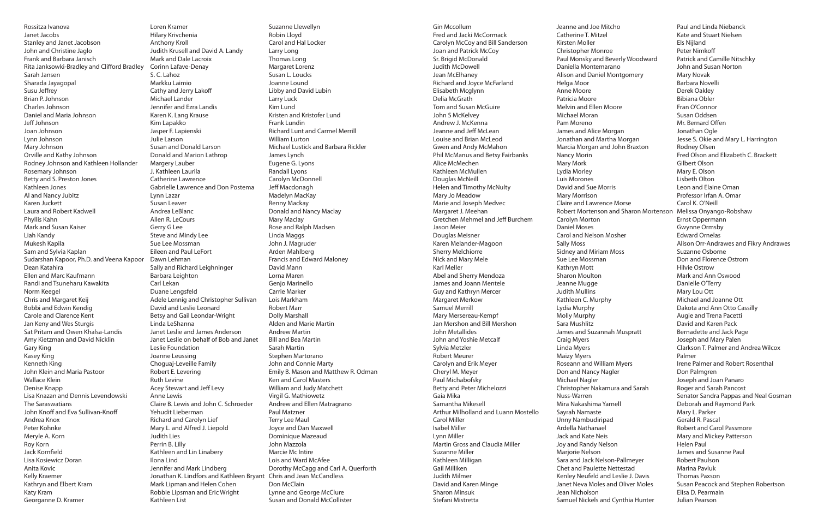Rossitza Ivanova Janet Jacobs Stanley and Janet Jacobson John and Christine Jaglo Frank and Barbara Janisch Rita Janksowki-Bradley and Clifford Bradley Sarah Jansen Sharada Jayagopal Susu Jeffrey Brian P. Johnson Charles Johnson Daniel and Maria Johnson Jeff Johnson Joan Johnson Lynn Johnson Mary Johnson Orville and Kathy Johnson Rodney Johnson and Kathleen Hollander Rosemary Johnson Betty and S. Preston Jones Kathleen Jones Al and Nancy Jubitz Karen Juckett Laura and Robert Kadwell Phyllis Kahn Mark and Susan Kaiser Liah Kandy Mukesh Kapila Sam and Sylvia Kaplan Sudarshan Kapoor, Ph.D. and Veena Kapoor Dean Katahira Ellen and Marc Kaufmann Randi and Tsuneharu Kawakita Norm Keegel Chris and Margaret Keij Bobbi and Edwin Kendig Carole and Clarence Kent Jan Keny and Wes Sturgis Sat Pritam and Owen Khalsa-Landis Amy Kietzman and David Nicklin Gary King Kasey King Kenneth King John Klein and Maria Pastoor Wallace Klein Denise Knapp Lisa Knazan and Dennis Levendowski The Saraswatians John Knoff and Eva Sullivan-Knoff Andrea Knox Peter Kohnke Meryle A. Korn Roy Korn Jack Kornfield Lisa Kosiewicz Doran Anita Kovic Kelly Kraemer Kathryn and Elbert Kram Katy Kram Georganne D. Kramer

Loren Kramer Hilary Krivchenia Anthony Kroll Judith Krusell and David A. Landy Mark and Dale Lacroix Corinn Lafave-Denay S. C. Lahoz Markku Laimio Cathy and Jerry Lakoff Michael Lander Jennifer and Ezra Landis Karen K. Lang Krause Kim Lapakko Jasper F. Lapienski Julie Larson Susan and Donald Larson Donald and Marion Lathrop Margery Lauber J. Kathleen Laurila Catherine Lawrence Gabrielle Lawrence and Don Postema Lynn Lazar Susan Leaver Andrea LeBlanc Allen R. LeCours Gerry G Lee Steve and Mindy Lee Sue Lee Mossman Eileen and Paul LeFort Dawn Lehman Sally and Richard Leighninger Barbara Leighton Carl Lekan Duane Lengsfeld Adele Lennig and Christopher Sullivan David and Leslie Leonard Betsy and Gail Leondar-Wright Linda LeShanna Janet Leslie and James Anderson Janet Leslie on behalf of Bob and Janet Leslie Foundation Joanne Leussing Choguaj-Leveille Family Robert E. Levering Ruth Levine Acey Stewart and Jeff Levy Anne Lewis Claire B. Lewis and John C. Schroeder Yehudit Lieberman Richard and Carolyn Lief Mary L. and Alfred J. Liepold Judith Lies Perrin B. Lilly Kathleen and Lin Linabery Ilona Lind Jennifer and Mark Lindberg Jonathan K. Lindfors and Kathleen Bryant Chris and Jean McCandless Mark Lipman and Helen Cohen Robbie Lipsman and Eric Wright Kathleen List

Suzanne Llewellyn Robin Lloyd Carol and Hal Locker Larry Long Thomas Long Margaret Lorenz Susan L. Loucks Joanne Lound Libby and David Lubin Larry Luck Kim Lund Kristen and Kristofer Lund Frank Lundin Richard Lunt and Carmel Merrill William Lurton Michael Lustick and Barbara Rickler James Lynch Eugene G. Lyons Randall Lyons Carolyn McDonnell Jeff Macdonagh Madelyn MacKay Renny Mackay Donald and Nancy Maclay Mary Maclay Rose and Ralph Madsen Linda Maggs John J. Magruder Arden Mahlberg Francis and Edward Maloney David Mann Lorna Maren Genjo Marinello Carrie Marker Lois Markham Robert Marr Dolly Marshall Alden and Marie Martin Andrew Martin Bill and Bea Martin Sarah Martin Stephen Martorano John and Connie Marty Emily B. Mason and Matthew R. Odman Ken and Carol Masters William and Judy Matchett Virgil G. Mathiowetz Andrew and Ellen Matragrano Paul Matzner Terry Lee Maul Joyce and Dan Maxwell Dominique Mazeaud John Mazzola Marcie Mc Intire Lois and Ward McAfee Dorothy McCagg and Carl A. Querforth Don McClain Lynne and George McClure Susan and Donald McCollister

Gin Mccollum Fred and Jacki McCormack Carolyn McCoy and Bill Sanderson Joan and Patrick McCoy Sr. Brigid McDonald Judith McDowell Jean McElhaney Richard and Joyce McFarland Elisabeth Mcglynn Delia McGrath Tom and Susan McGuire John S McKelvey Andrew J. McKenna Jeanne and Jeff McLean Louise and Brian McLeod Gwen and Andy McMahon Phil McManus and Betsy Fairbanks Alice McMechen Kathleen McMullen Douglas McNeill Helen and Timothy McNulty Mary Jo Meadow Marie and Joseph Medvec Margaret J. Meehan Gretchen Mehmel and Jeff Burchem Jason Meier Douglas Meisner Karen Melander-Magoon Sherry Melchiorre Nick and Mary Mele Karl Meller Abel and Sherry Mendoza James and Joann Mentele Guy and Kathryn Mercer Margaret Merkow Samuel Merrill Mary Mersereau-Kempf Jan Mershon and Bill Mershon John Metallides John and Yoshie Metcalf Sylvia Metzler Robert Meurer Carolyn and Erik Meyer Cheryl M. Meyer Paul Michabofsky Betty and Peter Michelozzi Gaia Mika Samantha Mikesell Arthur Milholland and Luann Mostello Carol Miller Isabel Miller Lynn Miller Martin Gross and Claudia Miller Suzanne Miller Kathleen Milligan Gail Milliken Judith Milmer David and Karen Minge Sharon Minsuk Stefani Mistretta

Catherine T. Mitzel Kirsten Moller Christopher Monroe Daniella Montemarano Alison and Daniel Montgomery Helga Moor Anne Moore Patricia Moore Melvin and Ellen Moore Michael Moran Pam Moreno James and Alice Morgan Jonathan and Martha Morgan Nancy Morin Mary Mork Lydia Morley Luis Morones David and Sue Morris Mary Morrison Claire and Lawrence Morse Carolyn Morton Daniel Moses Carol and Nelson Mosher Sally Moss Sidney and Miriam Moss Sue Lee Mossman Kathryn Mott Sharon Moulton Jeanne Mugge Judith Mullins Kathleen C. Murphy Lydia Murphy Molly Murphy Sara Mushlitz James and Suzannah Muspratt Craig Myers Linda Myers Maizy Myers Roseann and William Myers Don and Nancy Nagler Michael Nagler Nuss-Warren Mira Nakashima Yarnell Sayrah Namaste Unny Nambudiripad Ardella Nathanael Jack and Kate Neis Joy and Randy Nelson Marjorie Nelson Sara and Jack Nelson-Pallmeyer Chet and Paulette Nettestad Jean Nicholson

Jeanne and Joe Mitcho Paul Monsky and Beverly Woodward Marcia Morgan and John Braxton Robert Mortenson and Sharon Mortenson Melissa Onyango-Robshaw Christopher Nakamura and Sarah Kenley Neufeld and Leslie J. Davis Janet Neva Moles and Oliver Moles Samuel Nickels and Cynthia Hunter Paul and Linda Niebanck Kate and Stuart Nielsen Els Nijland Peter Nimkoff Patrick and Camille Nitschky John and Susan Norton Mary Novak Barbara Novelli Derek Oakley Bibiana Obler Fran O'Connor Susan Oddsen Mr. Bernard Offen Jonathan Ogle Jesse S. Okie and Mary L. Harrington Rodney Olsen Fred Olson and Elizabeth C. Brackett Gilbert Olson Mary E. Olson Lisbeth Olton Leon and Elaine Oman Professor Irfan A. Omar Carol K. O'Neill Ernst Oppermann Gwynne Ormsby Edward Ornelas Alison Orr-Andrawes and Fikry Andrawes Suzanne Osborne Don and Florence Ostrom Hilvie Ostrow Mark and Ann Oswood Danielle O'Terry Mary Lou Ott Michael and Joanne Ott Dakota and Ann Otto Cassilly Augie and Trena Pacetti David and Karen Pack Bernadette and Jack Page Joseph and Mary Palen Clarkson T. Palmer and Andrea Wilcox Palmer Irene Palmer and Robert Rosenthal Don Palmgren Joseph and Joan Panaro Roger and Sarah Pancost Senator Sandra Pappas and Neal Gosman Deborah and Raymond Park Mary L. Parker Gerald R. Pascal Robert and Carol Passmore Mary and Mickey Patterson Helen Paul James and Susanne Paul Robert Paulson Marina Pavluk Thomas Paxson Susan Peacock and Stephen Robertson Elisa D. Pearmain Julian Pearson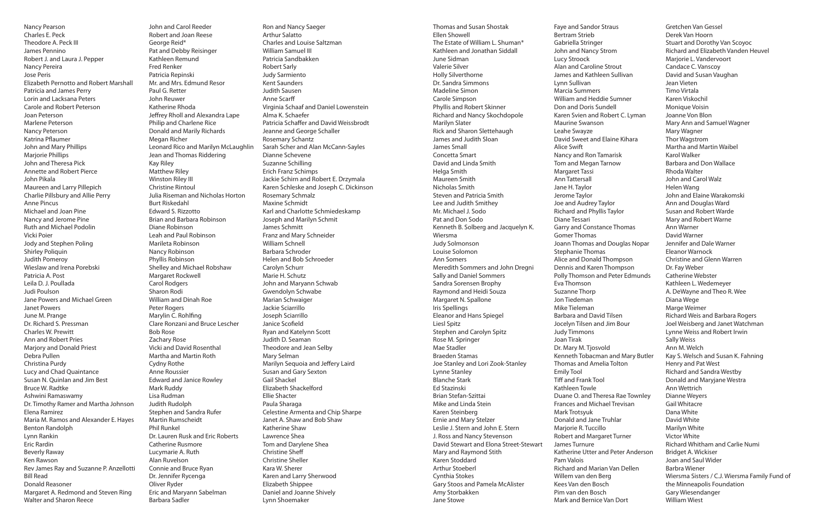Nancy Pearson Charles E. Peck Theodore A. Peck III James Pennino Robert J. and Laura J. Pepper Nancy Pereira Jose Peris Elizabeth Pernotto and Robert Marshall Patricia and James Perry Lorin and Lacksana Peters Carole and Robert Peterson Joan Peterson Marlene Peterson Nancy Peterson Katrina Pflaumer John and Mary Phillips Marjorie Phillips John and Theresa Pick Annette and Robert Pierce John Pikala Maureen and Larry Pillepich Charlie Pillsbury and Allie Perry Anne Pincus Michael and Joan Pine Nancy and Jerome Pine Ruth and Michael Podolin Vicki Poier Jody and Stephen Poling Shirley Poliquin Judith Pomeroy Wieslaw and Irena Porebski Patricia A. Post Leila D. J. Poullada Judi Poulson Jane Powers and Michael Green Janet Powers June M. Prange Dr. Richard S. Pressman Charles W. Prewitt Ann and Robert Pries Marjory and Donald Priest Debra Pullen Christina Purdy Lucy and Chad Quaintance Susan N. Quinlan and Jim Best Bruce W. Radtke Ashwini Ramaswamy Dr. Timothy Ramer and Martha Johnson Elena Ramirez Maria M. Ramos and Alexander E. Hayes Benton Randolph Lynn Rankin Eric Rardin Beverly Raway Ken Rawson Rev James Ray and Suzanne P. Anzellotti Bill Read Donald Reasoner Margaret A. Redmond and Steven Ring Walter and Sharon Reece

John and Carol Reeder Robert and Joan Reese George Reid\* Pat and Debby Reisinger Kathleen Remund Fred Renker Patricia Repinski Mr. and Mrs. Edmund Resor Paul G. Retter John Reuwer Katherine Rhoda Jeffrey Rholl and Alexandra Lape Philip and Charlene Rice Donald and Marily Richards Megan Richer Leonard Rico and Marilyn McLaughlin Jean and Thomas Riddering Kay Riley Matthew Riley Winston Riley III Christine Rintoul Julia Riseman and Nicholas Horton Burt Riskedahl Edward S. Rizzotto Brian and Barbara Robinson Diane Robinson Leah and Paul Robinson Marileta Robinson Nancy Robinson Phyllis Robinson Shelley and Michael Robshaw Margaret Rockwell Carol Rodgers Sharon Rodi William and Dinah Roe Peter Rogers Marylin C. Rohlfing Clare Ronzani and Bruce Lescher Bob Rose Zachary Rose Vicki and David Rosenthal Martha and Martin Roth Cydny Rothe Anne Roussier Edward and Janice Rowley Mark Ruddy Lisa Rudman Judith Rudolph Stephen and Sandra Rufer Martin Rumscheidt Phil Runkel Dr. Lauren Rusk and Eric Roberts Catherine Rusmore Lucymarie A. Ruth Alan Ruvelson Connie and Bruce Ryan Dr. Jennifer Rycenga Oliver Ryder Eric and Maryann Sabelman Barbara Sadler

Ron and Nancy Saeger Arthur Salatto Charles and Louise Saltzman William Samuel III Patricia Sandbakken Robert Sarly Judy Sarmiento Kent Saunders Judith Sausen Anne Scarff Virginia Schaaf and Daniel Lowenstein Alma K. Schaefer Patricia Schaffer and David Weissbrodt Jeanne and George Schaller Rosemary Schantz Sarah Scher and Alan McCann-Sayles Dianne Schevene Suzanne Schilling Erich Franz Schimps Jackie Schirn and Robert E. Drzymala Karen Schleske and Joseph C. Dickinson Rosemary Schmalz Maxine Schmidt Karl and Charlotte Schmiedeskamp Joseph and Marilyn Schmit James Schmitt Franz and Mary Schneider William Schnell Barbara Schroder Helen and Bob Schroeder Carolyn Schurr Marie H. Schutz John and Maryann Schwab Gwendolyn Schwabe Marian Schwaiger Jackie Sciarrillo Joseph Sciarrillo Janice Scofield Ryan and Katelynn Scott Judith D. Seaman Theodore and Jean Selby Mary Selman Marilyn Sequoia and Jeffery Laird Susan and Gary Sexton Gail Shackel Elizabeth Shackelford Ellie Shacter Paula Sharaga Celestine Armenta and Chip Sharpe Janet A. Shaw and Bob Shaw Katherine Shaw Lawrence Shea Tom and Darylene Shea Christine Sheff Christine Sheller Kara W. Sherer Karen and Larry Sherwood Elizabeth Shippee Daniel and Joanne Shively Lynn Shoemaker

Thomas and Susan Shostak Ellen Showell The Estate of William L. Shuman\* Kathleen and Jonathan Siddall June Sidman Valerie Silver Holly Silverthorne Dr. Sandra Simmons Madeline Simon Carole Simpson Phyllis and Robert Skinner Richard and Nancy Skochdopole Marilyn Slater Rick and Sharon Slettehaugh James and Judith Sloan James Small Concetta Smart David and Linda Smith Helga Smith Maureen Smith Nicholas Smith Steven and Patricia Smith Lee and Judith Smithey Mr. Michael J. Sodo Pat and Don Sodo Kenneth B. Solberg and Jacquelyn K. Wiersma Judy Solmonson Louise Solomon Ann Somers Meredith Sommers and John Dregni Sally and Daniel Sommers Sandra Sorensen Brophy Raymond and Heidi Souza Margaret N. Spallone Iris Spellings Eleanor and Hans Spiegel Liesl Spitz Stephen and Carolyn Spitz Rose M. Springer Mae Stadler Braeden Stamas Joe Stanley and Lori Zook-Stanley Lynne Stanley Blanche Stark Ed Stazinski Brian Stefan-Szittai Mike and Linda Stein Karen Steinberg Ernie and Mary Stelzer Leslie J. Stern and John E. Stern J. Ross and Nancy Stevenson David Stewart and Elona Street-Stewart Mary and Raymond Stith Karen Stoddard Arthur Stoeberl Cynthia Stokes Gary Stoos and Pamela McAlister Amy Storbakken Jane Stowe

Faye and Sandor Straus Bertram Strieb Gabriella Stringer John and Nancy Strom Lucy Stroock Alan and Caroline Strout James and Kathleen Sullivan Lynn Sullivan Marcia Summers William and Heddie Sumner Don and Doris Sundell Karen Svien and Robert C. Lyman Maurine Swanson Leahe Swayze David Sweet and Elaine Kihara Alice Swift Nancy and Ron Tamarisk Tom and Megan Tarnow Margaret Tassi Ann Tattersall Jane H. Taylor Jerome Taylor Joe and Audrey Taylor Richard and Phyllis Taylor Diane Tessari Garry and Constance Thomas Gomer Thomas Joann Thomas and Douglas Nopar Stephanie Thomas Alice and Donald Thompson Dennis and Karen Thompson Polly Thomson and Peter Edmunds Eva Thomson Suzanne Thorp Jon Tiedeman Mike Tieleman Barbara and David Tilsen Jocelyn Tilsen and Jim Bour Judy Timmons Joan Tirak Dr. Mary M. Tjosvold Kenneth Tobacman and Mary Butler Thomas and Amelia Tolton Emily Tool Tiff and Frank Tool Kathleen Towle Duane O. and Theresa Rae Townley Frances and Michael Trevisan Mark Trotsyuk Donald and Jane Truhlar Marjorie R. Tuccillo Robert and Margaret Turner James Turnure Katherine Utter and Peter Anderson Pam Valois Richard and Marian Van Dellen Willem van den Berg Kees Van den Bosch Pim van den Bosch Mark and Bernice Van Dort Gretchen Van Gessel Derek Van Hoorn Stuart and Dorothy Van Scoyoc Richard and Elizabeth Vanden Heuvel Marjorie L. Vandervoort Candace C. Vanscoy David and Susan Vaughan Jean Vieten Timo Virtala Karen Viskochil Monique Voisin Joanne Von Blon Mary Ann and Samuel Wagner Mary Wagner Thor Wagstrom Martha and Martin Waibel Karol Walker Barbara and Don Wallace Rhoda Walter John and Carol Walz Helen Wang John and Elaine Warakomski Ann and Douglas Ward Susan and Robert Warde Mary and Robert Warne Ann Warner David Warner Jennifer and Dale Warner Eleanor Warnock Christine and Glenn Warren Dr. Fay Weber Catherine Webster Kathleen L. Wedemeyer A. DeWayne and Theo R. Wee Diana Wege Marge Weimer Richard Weis and Barbara Rogers Joel Weisberg and Janet Watchman Lynne Weiss and Robert Irwin Sally Weiss Ann M. Welch Kay S. Welsch and Susan K. Fahning Henry and Pat West Richard and Sandra Westby Donald and Maryjane Westra Ann Wettrich Dianne Weyers Gail Whitacre Dana White David White Marilyn White Victor White Richard Whitham and Carlie Numi Bridget A. Wickiser Joan and Saul Wider Barbra Wiener Wiersma Sisters / C.J. Wiersma Family Fund of the Minneapolis Foundation Gary Wiesendanger William Wiest